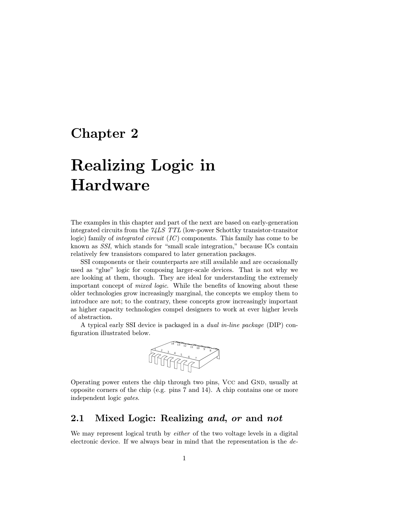# Chapter 2

# Realizing Logic in Hardware

The examples in this chapter and part of the next are based on early-generation integrated circuits from the 74LS TTL (low-power Schottky transistor-transitor logic) family of integrated circuit (IC) components. This family has come to be known as SSI, which stands for "small scale integration," because ICs contain relatively few transistors compared to later generation packages.

SSI components or their counterparts are still available and are occasionally used as "glue" logic for composing larger-scale devices. That is not why we are looking at them, though. They are ideal for understanding the extremely important concept of *mixed logic*. While the benefits of knowing about these older technologies grow increasingly marginal, the concepts we employ them to introduce are not; to the contrary, these concepts grow increasingly important as higher capacity technologies compel designers to work at ever higher levels of abstraction.

A typical early SSIdevice is packaged in a dual in-line package (DIP) configuration illustrated below.



Operating power enters the chip through two pins, Vcc and GND, usually at opposite corners of the chip (e.g. pins 7 and 14). A chip contains one or more independent logic gates.

## 2.1 Mixed Logic: Realizing and, or and not

We may represent logical truth by *either* of the two voltage levels in a digital electronic device. If we always bear in mind that the representation is the de-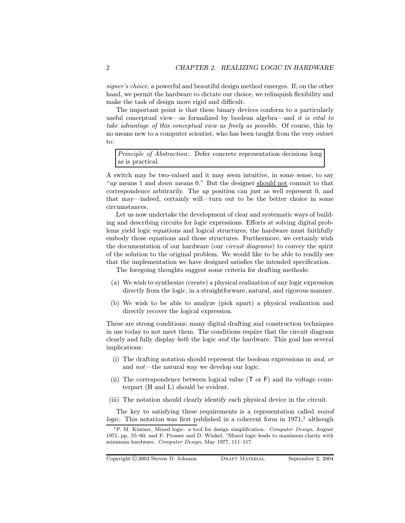signer's choice, a powerful and beautiful design method emerges. If, on the other hand, we permit the hardware to dictate our choice, we relinquish flexibility and make the task of design more rigid and difficult.

The important point is that these binary devices conform to a particularly useful conceptual view—as formalized by boolean algebra—and it is vital to take advantage of this conceptual view as freely as possible. Of course, this by no means new to a computer scientist, who has been taught from the very outset to:

Principle of Abstraction:. Defer concrete representation decisions long as is practical.

A switch may be two-valued and it may seem intuitive, in some sense, to say "up means 1 and down means 0." But the designer should not commit to that correspondence arbitrarily. The up position can just as well represent 0, and that may—indeed, certainly will—turn out to be the better choice in some circumstances.

Let us now undertake the development of clear and systematic ways of building and describing circuits for logic expressions. Efforts at solving digital problems yield logic equations and logical structures; the hardware must faithfully embody those equations and those structures. Furthermore, we certainly wish the documentation of our hardware (our circuit diagrams) to convey the spirit of the solution to the original problem. We would like to be able to readily see that the implementation we have designed satisfies the intended specification.

The foregoing thoughts suggest some criteria for drafting methods:

- (a) We wish to synthesize (create) a physical realization of any logic expression directly from the logic, in a straightforware, natural, and rigorous manner.
- (b) We wish to be able to analyze (pick apart) a physical realization and directly recover the logical expression.

These are strong conditions; many digital drafting and construction techniques in use today to not meet them. The conditions require that the circuit diagram clearly and fully display both the logic and the hardware. This goal has several implications:

- (i) The drafting notation should represent the boolean expressions in and, or and not—the natural way we develop our logic.
- (ii) The correspondence between logical value (T or F) and its voltage counterpart (H and L) should be evident.
- (iii) The notation should clearly identify each physical device in the circuit.

The key to satisfying these requirements is a representation called *mixed* logic. This notation was first published in a coherent form in  $1971<sup>1</sup>$  although

Copyright C 2003 Steven D. Johnson DRAFT MATERIAL September 2, 2004

<sup>&</sup>lt;sup>1</sup>P. M. Kintner, Mixed logic: a tool for design simplification. Computer Design, August 1971, pp. 55–60; and F. Prosser and D. Winkel, "Mixed logic leads to maximum clarity with minimum hardware. Computer Design, May 1977, 111–117.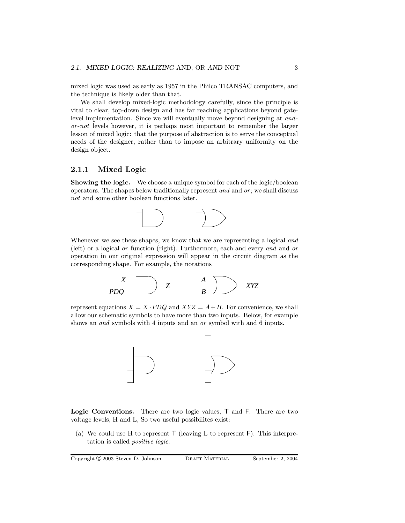mixed logic was used as early as 1957 in the Philco TRANSAC computers, and the technique is likely older than that.

We shall develop mixed-logic methodology carefully, since the principle is vital to clear, top-down design and has far reaching applications beyond gatelevel implementation. Since we will eventually move beyond designing at andor -not levels however, it is perhaps most important to remember the larger lesson of mixed logic: that the purpose of abstraction is to serve the conceptual needs of the designer, rather than to impose an arbitrary uniformity on the design object.

#### 2.1.1 Mixed Logic

Showing the logic. We choose a unique symbol for each of the logic/boolean operators. The shapes below traditionally represent  $and$  and  $or$ ; we shall discuss not and some other boolean functions later.



Whenever we see these shapes, we know that we are representing a logical and (left) or a logical or function (right). Furthermore, each and every and and or operation in our original expression will appear in the circuit diagram as the corresponding shape. For example, the notations



represent equations  $X = X \cdot PDQ$  and  $XYZ = A + B$ . For convenience, we shall allow our schematic symbols to have more than two inputs. Below, for example shows an and symbols with 4 inputs and an or symbol with and 6 inputs.



Logic Conventions. There are two logic values, T and F. There are two voltage levels, H and L, So two useful possibilites exist:

(a) We could use H to represent  $\mathsf T$  (leaving L to represent  $\mathsf F$ ). This interpretation is called positive logic.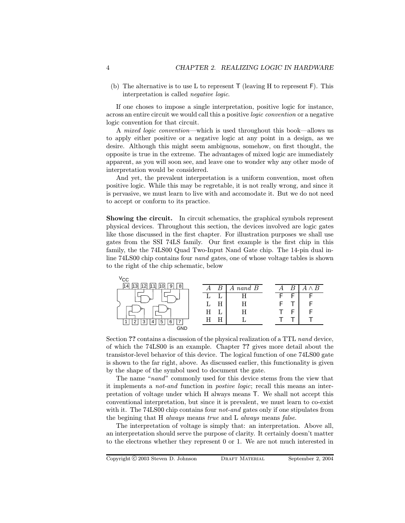(b) The alternative is to use L to represent  $\mathsf T$  (leaving H to represent  $\mathsf F$ ). This interpretation is called negative logic.

If one choses to impose a single interpretation, positive logic for instance, across an entire circuit we would call this a positive logic convention or a negative logic convention for that circuit.

A mixed logic convention—which is used throughout this book—allows us to apply either positive or a negative logic at any point in a design, as we desire. Although this might seem ambiguous, somehow, on first thought, the opposite is true in the extreme. The advantages of mixed logic are immediately apparent, as you will soon see, and leave one to wonder why any other mode of interpretation would be considered.

And yet, the prevalent interpretation is a uniform convention, most often positive logic. While this may be regretable, it is not really wrong, and since it is pervasive, we must learn to live with and accomodate it. But we do not need to accept or conform to its practice.

Showing the circuit. In circuit schematics, the graphical symbols represent physical devices. Throughout this section, the devices involved are logic gates like those discussed in the first chapter. For illustration purposes we shall use gates from the SSI74LS family. Our first example is the first chip in this family, the the 74LS00 Quad Two-Input Nand Gate chip. The 14-pin dual inline 74LS00 chip contains four nand gates, one of whose voltage tables is shown to the right of the chip schematic, below



Section ?? contains a discussion of the physical realization of a TTL nand device, of which the 74LS00 is an example. Chapter ?? gives more detail about the transistor-level behavior of this device. The logical function of one 74LS00 gate is shown to the far right, above. As discussed earlier, this functionality is given by the shape of the symbol used to document the gate.

The name "nand" commonly used for this device stems from the view that it implements a not-and function in postive logic; recall this means an interpretation of voltage under which H always means T. We shall not accept this conventional interpretation, but since it is prevalent, we must learn to co-exist with it. The 74LS00 chip contains four *not-and* gates only if one stipulates from the begining that H always means true and L always means false.

The interpretation of voltage is simply that: an interpretation. Above all, an interpretation should serve the purpose of clarity. It certainly doesn't matter to the electrons whether they represent 0 or 1. We are not much interested in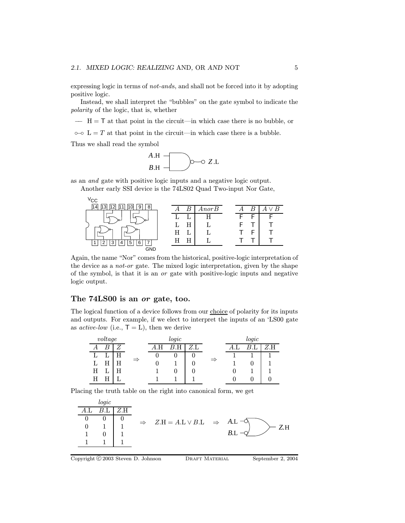expressing logic in terms of not-ands, and shall not be forced into it by adopting positive logic.

Instead, we shall interpret the "bubbles" on the gate symbol to indicate the polarity of the logic, that is, whether

−− H = T at that point in the circuit—in which case there is no bubble, or

 $\circ$ − $\circ$  L = T at that point in the circuit—in which case there is a bubble.

Thus we shall read the symbol



as an and gate with positive logic inputs and a negative logic output.

Another early SSI device is the 74LS02 Quad Two-input Nor Gate,



Again, the name "Nor" comes from the historical, positive-logic interpretation of the device as a not-or gate. The mixed logic interpretation, given by the shape of the symbol, is that it is an or gate with positive-logic inputs and negative logic output.

#### The 74LS00 is an or gate, too.

The logical function of a device follows from our choice of polarity for its inputs and outputs. For example, if we elect to interpret the inputs of an 'LS00 gate as *active-low* (i.e.,  $T = L$ ), then we derive

| voltage |  |   | logic         |  |   |                           |               |  | logic |     |  |
|---------|--|---|---------------|--|---|---------------------------|---------------|--|-------|-----|--|
| А       |  |   |               |  | н | $Z.\overline{\mathrm{L}}$ |               |  |       | Z.H |  |
|         |  |   |               |  |   |                           |               |  |       |     |  |
|         |  | Η | $\Rightarrow$ |  |   |                           | $\Rightarrow$ |  |       |     |  |
| Н       |  |   |               |  |   |                           |               |  |       |     |  |
|         |  |   |               |  |   |                           |               |  |       |     |  |

Placing the truth table on the right into canonical form, we get

|     | logic          |     |                                                                |     |
|-----|----------------|-----|----------------------------------------------------------------|-----|
| A.I | R <sub>T</sub> | Z.H |                                                                |     |
|     |                |     | $\Rightarrow Z.H = A.L \vee B.L \Rightarrow A.L \neg \Diamond$ |     |
|     |                |     |                                                                | Z.H |
|     |                |     |                                                                | B.L |
|     |                |     |                                                                |     |
|     |                |     |                                                                |     |

Copyright C 2003 Steven D. Johnson DRAFT MATERIAL September 2, 2004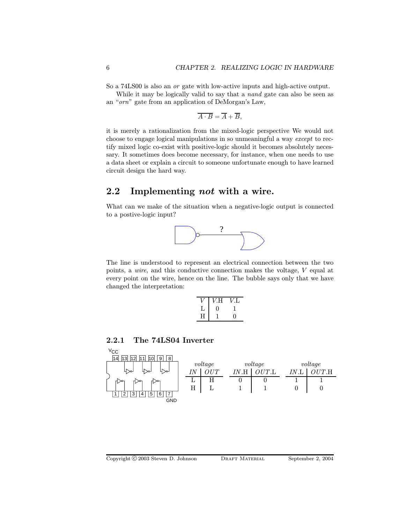So a 74LS00 is also an or gate with low-active inputs and high-active output.

While it may be logically valid to say that a *nand* gate can also be seen as an "orn" gate from an application of DeMorgan's Law,

$$
\overline{A \cdot B} = \overline{A} + \overline{B},
$$

it is merely a rationalization from the mixed-logic perspective We would not choose to engage logical manipulations in so unmeaningful a way except to rectify mixed logic co-exist with positive-logic should it becomes absolutely necessary. It sometimes does become necessary, for instance, when one needs to use a data sheet or explain a circuit to someone unfortunate enough to have learned circuit design the hard way.

## 2.2 Implementing not with a wire.

What can we make of the situation when a negative-logic output is connected to a postive-logic input?



The line is understood to represent an electrical connection between the two points, a wire, and this conductive connection makes the voltage, V equal at every point on the wire, hence on the line. The bubble says only that we have changed the interpretation:

|   | V.Н | VΤ. |
|---|-----|-----|
| T | 0   |     |
| H |     | 0   |

#### 2.2.1 The 74LS04 Inverter

| $V_{\rm CC}$                       |    |         |    |                 |      |         |
|------------------------------------|----|---------|----|-----------------|------|---------|
| 8<br>14<br>9<br> 13 <br>12'        |    |         |    |                 |      |         |
|                                    |    | voltage |    | voltage         |      | voltage |
| 4≫⊓<br>⊔ >⊶<br>Ч≫∼                 | ΙN | TTT     | ĪΝ | $UT.\mathbf{L}$ | IN.1 | OUT.H   |
| н.≫<br>⊓≫⊤                         | ⊥  | H       |    |                 |      |         |
|                                    | Η  |         |    |                 |      |         |
| 5<br>$\overline{ }$<br>ঽ<br>6<br>っ |    |         |    |                 |      |         |
| <b>GND</b>                         |    |         |    |                 |      |         |